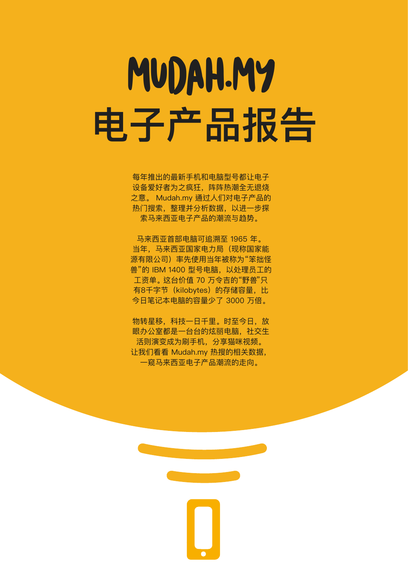# MUDAH.MY **电子产品报告**

每年推出的最新手机和电脑型号都让电子 设备爱好者为之疯狂,阵阵热潮全无退烧 之意。 Mudah.my 通过人们对电子产品的 热门搜索,整理并分析数据,以进一步探 索马来西亚电子产品的潮流与趋势。

马来西亚首部电脑可追溯至 1965 年。 当年,马来西亚国家电力局(现称国家能 源有限公司)率先使用当年被称为"笨拙怪 兽"的 IBM 1400 型号电脑,以处理员工的 工资单。这台价值 70 万令吉的"野兽"只 有8千字节 (kilobytes) 的存储容量, 比 今日笔记本电脑的容量少了 3000 万倍。

物转星移,科技一日千里。时至今日,放 眼办公室都是一台台的炫丽电脑,社交生 活则演变成为刷手机,分享猫咪视频。 让我们看看 Mudah.my 热搜的相关数据, 一窥马来西亚电子产品潮流的走向。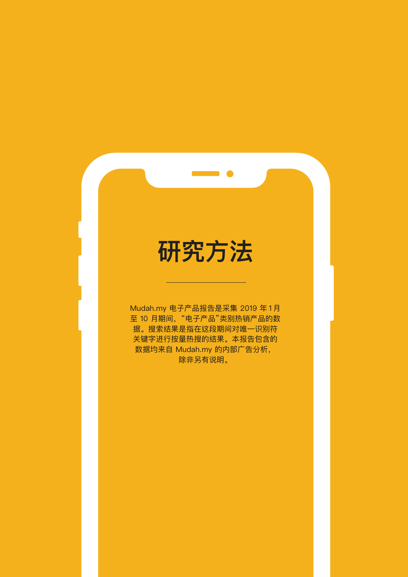#### **研究方法**

Mudah.my 电子产品报告是采集 2019 年 1月 至 10 月期间, "电子产品"类别热销产品的数 据。搜索结果是指在这段期间对唯一识别符 关键字进行按量热搜的结果。本报告包含的 数据均来自 Mudah.my 的内部广告分析, 除非另有说明。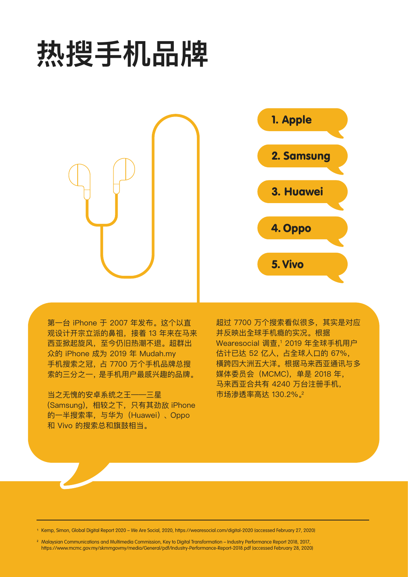## **热搜手机品牌**



第一台 iPhone 于 2007 年发布。这个以直 观设计开宗立派的鼻祖,接着 13 年来在马来 西亚掀起旋风,至今仍旧热潮不退。超群出 众的 iPhone 成为 2019 年 Mudah.my 手机搜索之冠,占 7700 万个手机品牌总搜 索的三分之一,是手机用户最感兴趣的品牌。

当之无愧的安卓系统之王——三星 (Samsung),相较之下,只有其劲敌 iPhone 的一半搜索率,与华为(Huawei)、Oppo 和 Vivo 的搜索总和旗鼓相当。

超过 7700 万个搜索看似很多,其实是对应 并反映出全球手机瘾的实况。根据 Wearesocial 调查,<sup>1</sup> 2019 年全球手机用户 估计已达 52 亿人,占全球人口的 67%, 橫跨四大洲五大洋。根据马来西亚通讯与多 媒体委员会(MCMC),单是 2018 年, 马来西亚合共有 4240 万台注册手机, 市场渗透率高达 130.2%.<sup>2</sup>

<sup>1</sup> Kemp, Simon, Global Digital Report 2020 – We Are Social, 2020, https://wearesocial.com/digital-2020 (accessed February 27, 2020)

<sup>2</sup> Malaysian Communications and Multimedia Commission, Key to Digital Transformation – Industry Performance Report 2018, 2017, https://www.mcmc.gov.my/skmmgovmy/media/General/pdf/Industry-Performance-Report-2018.pdf (accessed February 28, 2020)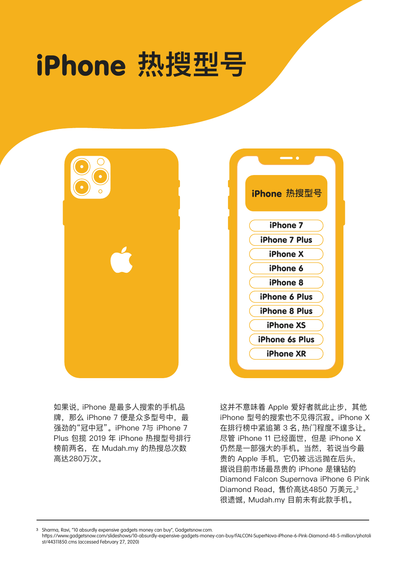### iPhone **热搜型号**





如果说,iPhone 是最多人搜索的手机品 牌,那么 iPhone 7 便是众多型号中, 最 强劲的"冠中冠"。iPhone 7与 iPhone 7 Plus 包揽 2019 年 iPhone 热搜型号排行 榜前两名,在 Mudah.my 的热搜总次数 高达280万次。

这并不意味着 Apple 爱好者就此止步, 其他 iPhone 型号的搜索也不见得沉寂。iPhone X 在排行榜中紧追第 3 名,热门程度不遑多让。 尽管 iPhone 11 已经面世, 但是 iPhone X 仍然是一部强大的手机。当然,若说当今最 贵的 Apple 手机,它仍被 远远抛在后头, 据说目前市场最昂贵的 iPhone 是镶钻的 Diamond Falcon Supernova iPhone 6 Pink Diamond Read,售价高达4850 万美元。3 很遗憾,Mudah.my 目前未有此款手机。

<sup>3</sup> Sharma, Ravi, "10 absurdly expensive gadgets money can buy", Gadgetsnow.com.

https://www.gadgetsnow.com/slideshows/10-absurdly-expensive-gadgets-money-can-buy/FALCON-SuperNova-iPhone-6-Pink-Diamond-48-5-million/photoli st/44311850.cms (accessed February 27, 2020)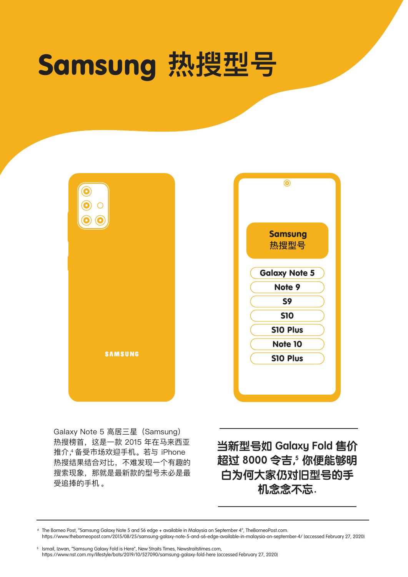### Samsung **热搜型号**

|                | $\odot$                |
|----------------|------------------------|
|                | <b>Samsung</b><br>热搜型号 |
|                | <b>Galaxy Note 5</b>   |
|                | Note 9                 |
|                | S9                     |
|                | <b>S10</b>             |
|                | S10 Plus               |
|                | <b>Note 10</b>         |
| <b>SAMSUNG</b> | S10 Plus               |
|                |                        |

Galaxy Note 5 高居三星(Samsung) 热搜榜首,这是一款 2015 年在马来西亚 推介,4 备受市场欢迎手机。若与 iPhone 热搜结果结合对比,不难发现一个有趣的 搜索现象,那就是最新款的型号未必是最 受追捧的手机 。

**当新型号如 Galaxy Fold 售价 超过 8000 令吉, 5 你便能够明 白为何大家仍对旧型号的手 机念念不忘.**

The Borneo Post, "Samsung Galaxy Note 5 and S6 edge + available in Malaysia on September 4", TheBorneoPost.com. https://www.theborneopost.com/2015/08/25/samsung-galaxy-note-5-and-s6-edge-available-in-malaysia-on-september-4/ (accessed February 27, 2020)

<sup>5</sup> Ismail, Izwan, "Samsung Galaxy Fold is Here", New Straits Times, Newstraitstimes.com, https://www.nst.com.my/lifestyle/bots/2019/10/527090/samsung-galaxy-fold-here (accessed February 27, 2020)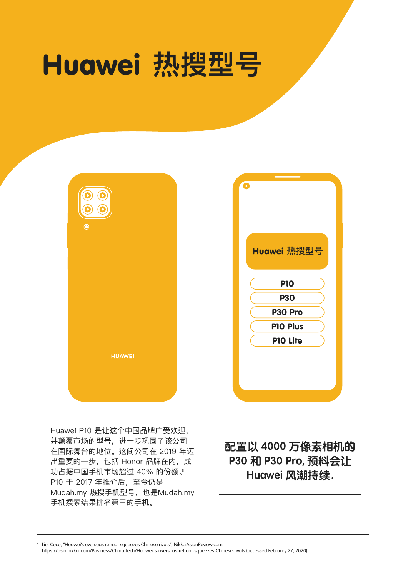#### Huawei **热搜型号**





Huawei P10 是让这个中国品牌广受欢迎, 并颠覆市场的型号,进一步䒳固了该公司 在国际舞台的地位。这间公司在 2019 年迈 出重要的一步,包括 Honor 品牌在内,成 功占据中国手机市场超过 40% 的份额。 P10 于 2017 年推介后, 至今仍是 Mudah.my 热搜手机型号, 也是Mudah.my 手机搜索结果排名第三的手机。

**配置以 4000 万像素相机的 P30 和 P30 Pro, 预料会让 Huawei 风潮持续.**

Liu, Coco, "Huawei's overseas retreat squeezes Chinese rivals", NikkeiAsianReview.com.

https://asia.nikkei.com/Business/China-tech/Huawei-s-overseas-retreat-squeezes-Chinese-rivals (accessed February 27, 2020)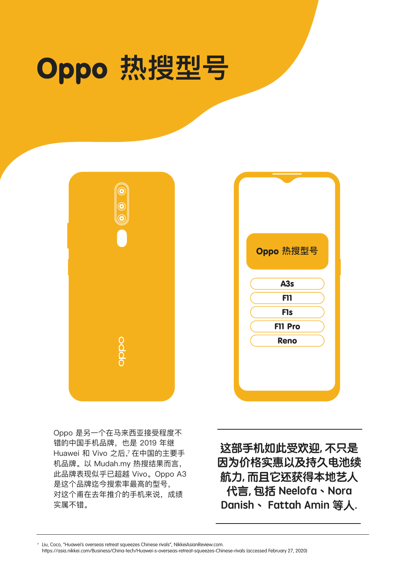#### Oppo **热搜型号**



| Oppo 热搜型号<br>A <sub>3s</sub><br>F11<br><b>F1s</b><br>F11 Pro<br>Reno |  |  |
|----------------------------------------------------------------------|--|--|
|                                                                      |  |  |
|                                                                      |  |  |
|                                                                      |  |  |
|                                                                      |  |  |
|                                                                      |  |  |
|                                                                      |  |  |
|                                                                      |  |  |
|                                                                      |  |  |

Oppo 是另一个在马来西亚接受程度不 错的中国手机品牌,也是 2019 年继 Huawei 和 Vivo 之后,<sup>7</sup> 在中国的主要手 机品牌。以 Mudah.my 热搜结果而言, 此品牌表现似乎已超越 Vivo。Oppo A3 是这个品牌迄今搜索率最高的型号, 对这个甫在去年推介的手机来说,成绩 实属不错。

**这部手机如此受欢迎, 不只是 因为价格实惠以及持久电池续 航力, 而且它还获得本地艺人 代言, 包括 Neelofa︑Nora Danish︑ Fattah Amin 等人.**

Liu, Coco, "Huawei's overseas retreat squeezes Chinese rivals", NikkeiAsianReview.com.

https://asia.nikkei.com/Business/China-tech/Huawei-s-overseas-retreat-squeezes-Chinese-rivals (accessed February 27, 2020)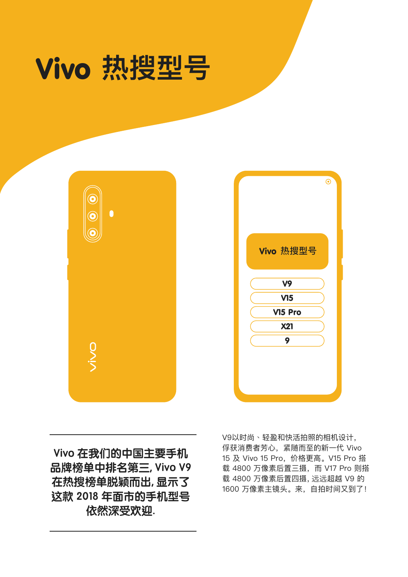





**Vivo 在我们的中国主要手机 品牌榜单中排名第三, Vivo V9 在热搜榜单脱颖而出, 显示了 这款 2018 年面市的手机型号 依然深受欢迎.**

V9以时尚、轻盈和快活拍照的相机设计, 俘获消费者芳心,紧随而至的新一代 Vivo 15 及 Vivo 15 Pro,价格更高。V15 Pro 搭 载 4800 万像素后置三摄,而 V17 Pro 则搭 载 4800 万像素后置四摄, 远远超越 V9 的 1600 万像素主镜头。来,自拍时间又到了!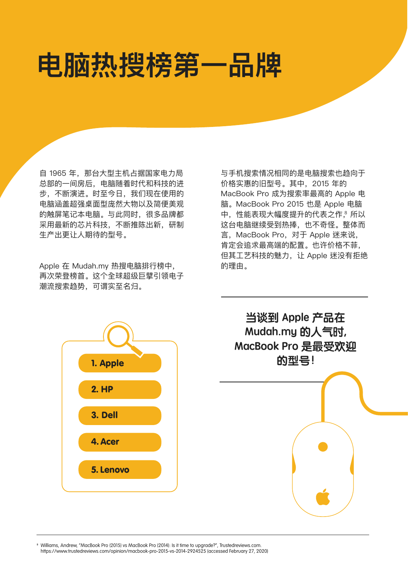### **电脑热搜榜第一品牌**

自 1965 年, 那台大型主机占据国家电力局 总部的一间房后,电脑随着时代和科技的进 步,不断演进。时至今日,我们现在使用的 电脑涵盖超强桌面型庞然大物以及简便美观 的触屏笔记本电脑。与此同时,很多品牌都 采用最新的芯片科技,不断推陈出新,研制 生产出更让人期待的型号。

Apple 在 Mudah.my 热搜电脑排行榜中, 再次荣登榜首。这个全球超级巨擘引领电子 潮流搜索趋势,可谓实至名归。

与手机搜索情况相同的是电脑搜索也趋向于 价格实惠的旧型号。其中,2015 年的 MacBook Pro 成为搜索率最高的 Apple 电 脑。MacBook Pro 2015 也是 Apple 电脑 中,性能表现大幅度提升的代表之作, 8 所以 这台电脑继续受到热捧,也不奇怪。整体而 言, MacBook Pro, 对于 Apple 迷来说, 肯定会追求最高端的配置。也许价格不菲, 但其工艺科技的魅力,让 Apple 迷没有拒绝 的理由。





<sup>8</sup> Williams, Andrew, "MacBook Pro (2015) vs MacBook Pro (2014): Is it time to upgrade?", Trustedreviews.com. https://www.trustedreviews.com/opinion/macbook-pro-2015-vs-2014-2924525 (accessed February 27, 2020)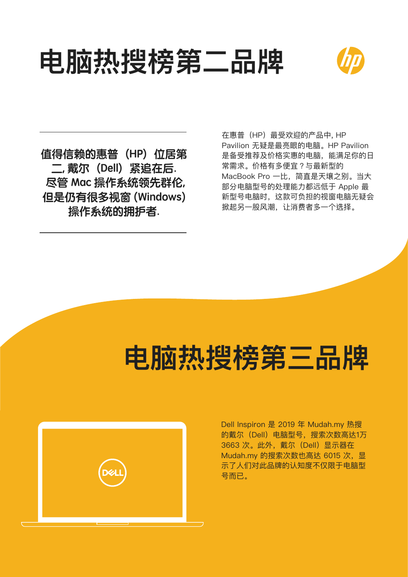#### **电脑热搜榜第二品牌**



值得信赖的惠普(HP) 位居第 **二, 戴尔(Dell)紧追在后. 尽管 Mac 操作系统领先群伦, 但是仍有很多视窗 (Windows) 操作系统的拥护者.** 

在惠普(HP)最受欢迎的产品中, HP Pavilion 无疑是最亮眼的电脑。HP Pavilion 是备受推荐及价格实惠的电脑,能满足你的日 常需求。价格有多便宜?与最新型的 MacBook Pro 一比,简直是天壤之别。当大 部分电脑型号的处理能力都远低于 Apple 最 新型号电脑时,这款可负担的视窗电脑无疑会 掀起另一股风潮,让消费者多一个选择。

#### **电脑热搜榜第三品牌**



Dell Inspiron 是 2019 年 Mudah.my 热搜 的戴尔(Dell)电脑型号,搜索次数高达1万 3663 次。此外,戴尔(Dell)显示器在 Mudah.my 的搜索次数也高达 6015 次, 显 示了人们对此品牌的认知度不仅限于电脑型 号而已。